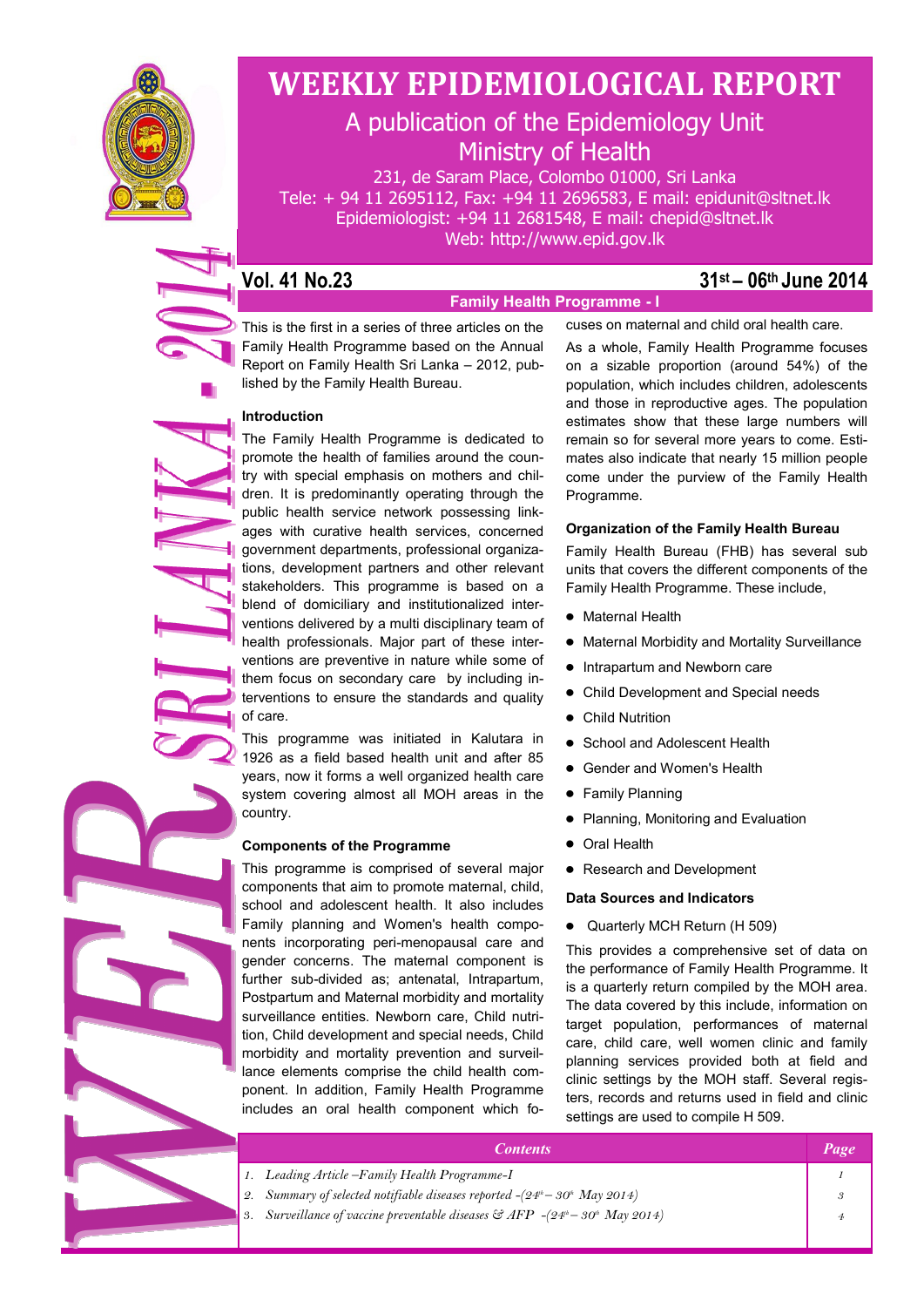

# **WEEKLY EPIDEMIOLOGICAL REPORT**

# A publication of the Epidemiology Unit Ministry of Health

231, de Saram Place, Colombo 01000, Sri Lanka Tele: + 94 11 2695112, Fax: +94 11 2696583, E mail: epidunit@sltnet.lk Epidemiologist: +94 11 2681548, E mail: chepid@sltnet.lk Web: http://www.epid.gov.lk

**Family Health Programme - I**

### **Vol. 41 No.23 31st – 06th June 2014**

This is the first in a series of three articles on the Family Health Programme based on the Annual Report on Family Health Sri Lanka – 2012, published by the Family Health Bureau.

#### **Introduction**

The Family Health Programme is dedicated to promote the health of families around the country with special emphasis on mothers and children. It is predominantly operating through the public health service network possessing linkages with curative health services, concerned government departments, professional organizations, development partners and other relevant stakeholders. This programme is based on a blend of domiciliary and institutionalized interventions delivered by a multi disciplinary team of health professionals. Major part of these interventions are preventive in nature while some of them focus on secondary care by including interventions to ensure the standards and quality of care.

This programme was initiated in Kalutara in 1926 as a field based health unit and after 85 years, now it forms a well organized health care system covering almost all MOH areas in the country.

#### **Components of the Programme**

This programme is comprised of several major components that aim to promote maternal, child, school and adolescent health. It also includes Family planning and Women's health components incorporating peri-menopausal care and gender concerns. The maternal component is further sub-divided as; antenatal, Intrapartum, Postpartum and Maternal morbidity and mortality surveillance entities. Newborn care, Child nutrition, Child development and special needs, Child morbidity and mortality prevention and surveillance elements comprise the child health component. In addition, Family Health Programme includes an oral health component which foAs a whole, Family Health Programme focuses on a sizable proportion (around 54%) of the population, which includes children, adolescents and those in reproductive ages. The population estimates show that these large numbers will remain so for several more years to come. Estimates also indicate that nearly 15 million people come under the purview of the Family Health Programme.

cuses on maternal and child oral health care.

#### **Organization of the Family Health Bureau**

Family Health Bureau (FHB) has several sub units that covers the different components of the Family Health Programme. These include,

- Maternal Health
- Maternal Morbidity and Mortality Surveillance
- Intrapartum and Newborn care
- Child Development and Special needs
- Child Nutrition
- School and Adolescent Health
- Gender and Women's Health
- **•** Family Planning
- Planning, Monitoring and Evaluation
- Oral Health
- Research and Development

#### **Data Sources and Indicators**

Quarterly MCH Return (H 509)

This provides a comprehensive set of data on the performance of Family Health Programme. It is a quarterly return compiled by the MOH area. The data covered by this include, information on target population, performances of maternal care, child care, well women clinic and family planning services provided both at field and clinic settings by the MOH staff. Several registers, records and returns used in field and clinic settings are used to compile H 509.

| <i><b>Contents</b></i>                                                                            |  |
|---------------------------------------------------------------------------------------------------|--|
| 1. Leading Article - Family Health Programme-I                                                    |  |
| 2. Summary of selected notifiable diseases reported $-(24th-30th$ May 2014)                       |  |
| 3. Surveillance of vaccine preventable diseases $\mathcal{E}$ AFP $-(24^{\mu}-30^{\mu}$ May 2014) |  |
|                                                                                                   |  |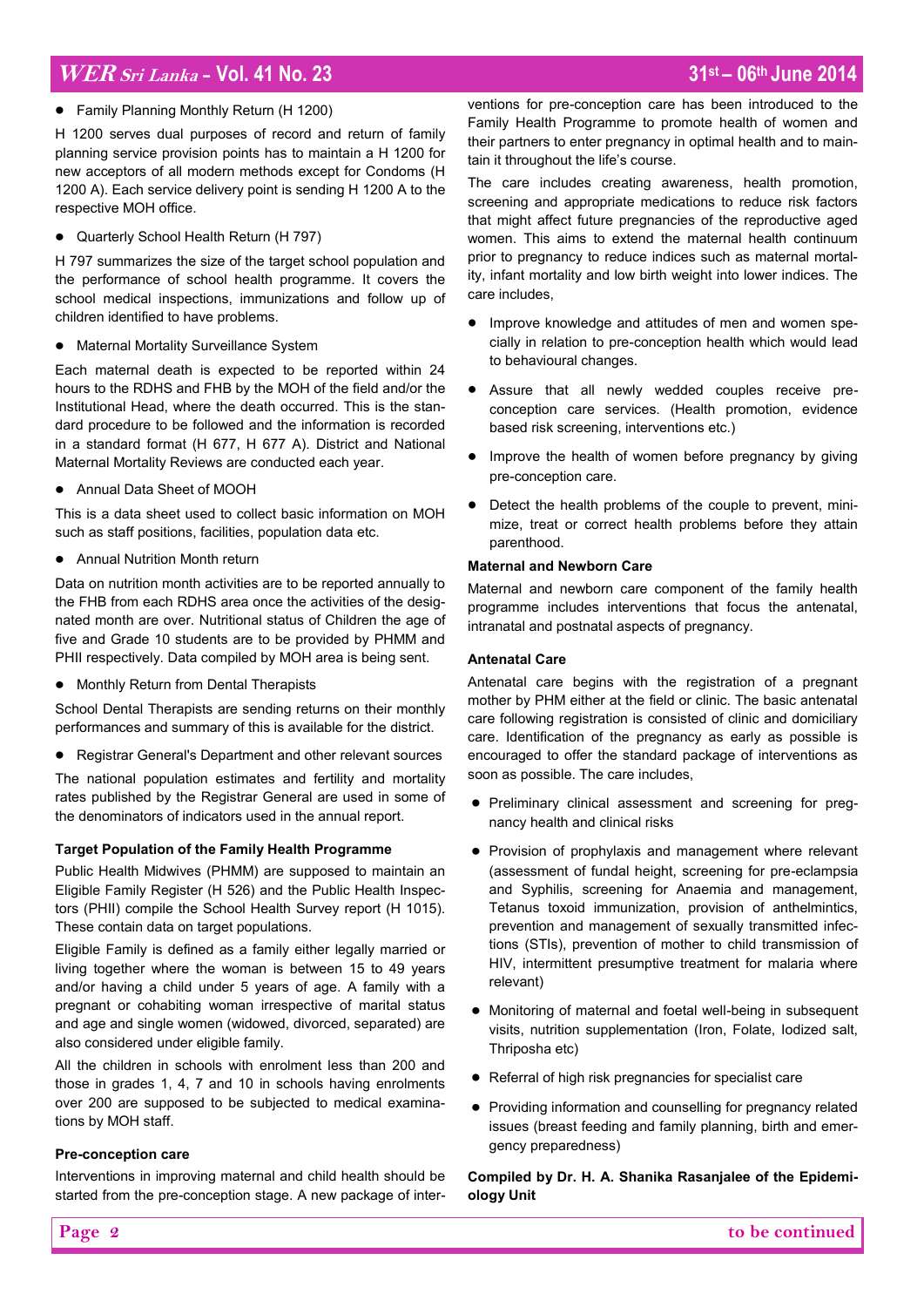# **WER Sri Lanka - Vol. 41 No. 23 31st – 06th June 2014**

Family Planning Monthly Return (H 1200)

H 1200 serves dual purposes of record and return of family planning service provision points has to maintain a H 1200 for new acceptors of all modern methods except for Condoms (H 1200 A). Each service delivery point is sending H 1200 A to the respective MOH office.

Quarterly School Health Return (H 797)

H 797 summarizes the size of the target school population and the performance of school health programme. It covers the school medical inspections, immunizations and follow up of children identified to have problems.

Maternal Mortality Surveillance System

Each maternal death is expected to be reported within 24 hours to the RDHS and FHB by the MOH of the field and/or the Institutional Head, where the death occurred. This is the standard procedure to be followed and the information is recorded in a standard format (H 677, H 677 A). District and National Maternal Mortality Reviews are conducted each year.

Annual Data Sheet of MOOH

This is a data sheet used to collect basic information on MOH such as staff positions, facilities, population data etc.

Annual Nutrition Month return

Data on nutrition month activities are to be reported annually to the FHB from each RDHS area once the activities of the designated month are over. Nutritional status of Children the age of five and Grade 10 students are to be provided by PHMM and PHII respectively. Data compiled by MOH area is being sent.

• Monthly Return from Dental Therapists

School Dental Therapists are sending returns on their monthly performances and summary of this is available for the district.

Registrar General's Department and other relevant sources

The national population estimates and fertility and mortality rates published by the Registrar General are used in some of the denominators of indicators used in the annual report.

#### **Target Population of the Family Health Programme**

Public Health Midwives (PHMM) are supposed to maintain an Eligible Family Register (H 526) and the Public Health Inspectors (PHII) compile the School Health Survey report (H 1015). These contain data on target populations.

Eligible Family is defined as a family either legally married or living together where the woman is between 15 to 49 years and/or having a child under 5 years of age. A family with a pregnant or cohabiting woman irrespective of marital status and age and single women (widowed, divorced, separated) are also considered under eligible family.

All the children in schools with enrolment less than 200 and those in grades 1, 4, 7 and 10 in schools having enrolments over 200 are supposed to be subjected to medical examinations by MOH staff.

#### **Pre-conception care**

Interventions in improving maternal and child health should be started from the pre-conception stage. A new package of interventions for pre-conception care has been introduced to the Family Health Programme to promote health of women and their partners to enter pregnancy in optimal health and to maintain it throughout the life's course.

The care includes creating awareness, health promotion, screening and appropriate medications to reduce risk factors that might affect future pregnancies of the reproductive aged women. This aims to extend the maternal health continuum prior to pregnancy to reduce indices such as maternal mortality, infant mortality and low birth weight into lower indices. The care includes,

- Improve knowledge and attitudes of men and women specially in relation to pre-conception health which would lead to behavioural changes.
- Assure that all newly wedded couples receive preconception care services. (Health promotion, evidence based risk screening, interventions etc.)
- Improve the health of women before pregnancy by giving pre-conception care.
- Detect the health problems of the couple to prevent, minimize, treat or correct health problems before they attain parenthood.

#### **Maternal and Newborn Care**

Maternal and newborn care component of the family health programme includes interventions that focus the antenatal, intranatal and postnatal aspects of pregnancy.

#### **Antenatal Care**

Antenatal care begins with the registration of a pregnant mother by PHM either at the field or clinic. The basic antenatal care following registration is consisted of clinic and domiciliary care. Identification of the pregnancy as early as possible is encouraged to offer the standard package of interventions as soon as possible. The care includes,

- Preliminary clinical assessment and screening for pregnancy health and clinical risks
- Provision of prophylaxis and management where relevant (assessment of fundal height, screening for pre-eclampsia and Syphilis, screening for Anaemia and management, Tetanus toxoid immunization, provision of anthelmintics, prevention and management of sexually transmitted infections (STIs), prevention of mother to child transmission of HIV, intermittent presumptive treatment for malaria where relevant)
- Monitoring of maternal and foetal well-being in subsequent visits, nutrition supplementation (Iron, Folate, Iodized salt, Thriposha etc)
- Referral of high risk pregnancies for specialist care
- Providing information and counselling for pregnancy related issues (breast feeding and family planning, birth and emergency preparedness)

### **Compiled by Dr. H. A. Shanika Rasanjalee of the Epidemiology Unit**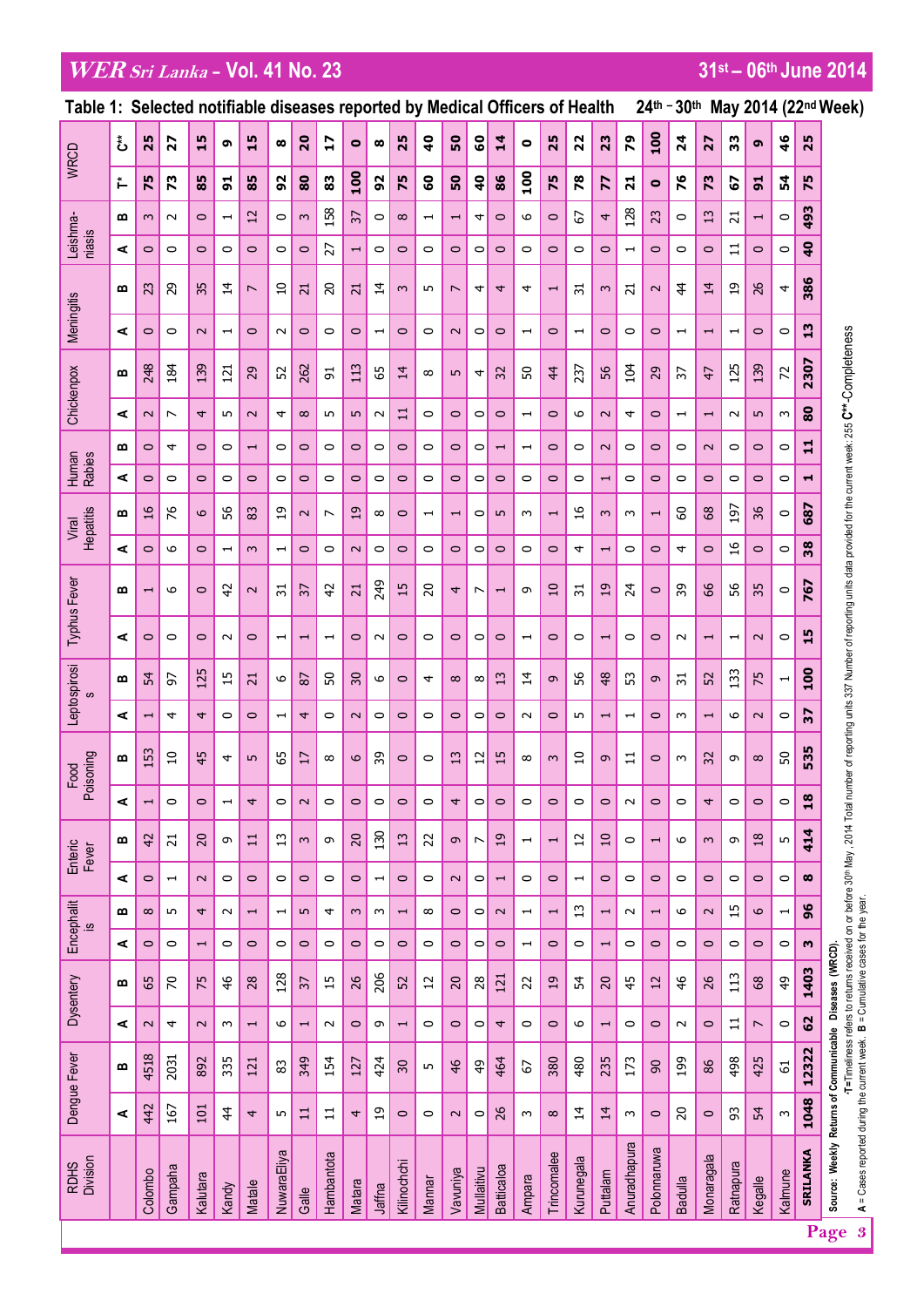# **WERSri Lanka - Vol. 41 No. 23 31st – 06th June 2014**

| 24th - 30th May 2014 (22nd Week)<br>Table 1: Selected notifiable diseases reported by Medical Officers of Health |    |                          |                          |                          |                                                                    |                          |                          |                          |                          |                          |                          |                          |                          |                          |                |                          |                          |                          |                          |                          |                          |                          |                          |                          |                          |                          |                          |                 |                                                                                                                                                                                                                                                         |
|------------------------------------------------------------------------------------------------------------------|----|--------------------------|--------------------------|--------------------------|--------------------------------------------------------------------|--------------------------|--------------------------|--------------------------|--------------------------|--------------------------|--------------------------|--------------------------|--------------------------|--------------------------|----------------|--------------------------|--------------------------|--------------------------|--------------------------|--------------------------|--------------------------|--------------------------|--------------------------|--------------------------|--------------------------|--------------------------|--------------------------|-----------------|---------------------------------------------------------------------------------------------------------------------------------------------------------------------------------------------------------------------------------------------------------|
| <b>WRCD</b>                                                                                                      | ئ  | 25                       | 27                       | 15                       | G                                                                  | 5<br>н                   | $\boldsymbol{\infty}$    | 20                       | $\overline{1}$           | $\bullet$                | $\infty$                 | 25                       | $\overline{a}$           | $50\,$                   | <b>S</b>       | $\overline{1}$           | $\bullet$                | 25                       | 22                       | 23                       | 64                       | 100                      | $\overline{24}$          | 27                       | 33                       | G                        | $\frac{4}{6}$            | 25              |                                                                                                                                                                                                                                                         |
|                                                                                                                  | r. | 75                       | 73                       | 85                       | 5                                                                  | 85                       | 52                       | 80                       | 33                       | 100                      | 92                       | 75                       | $\mathbf{S}$             | ${\tt s}$                | $\frac{6}{4}$  | 86                       | $\overline{0}$           | 75                       | 78                       | 77                       | $\overline{21}$          | $\bullet$                | 76                       | 73                       | 2                        | $\overline{5}$           | 54                       | 75              |                                                                                                                                                                                                                                                         |
| Leishma-                                                                                                         | œ  | $\sim$                   | $\sim$                   | $\circ$                  | $\overline{\phantom{0}}$                                           | 12                       | $\circ$                  | $\sim$                   | 158                      | $\overline{37}$          | $\circ$                  | $\infty$                 | $\overline{\phantom{0}}$ | $\overline{\phantom{0}}$ | 4              | $\circ$                  | 6                        | $\circ$                  | 2                        | 4                        | 128                      | 23                       | $\circ$                  | 13                       | $\overline{21}$          | $\overline{\phantom{0}}$ | $\circ$                  | 493             |                                                                                                                                                                                                                                                         |
| niasis                                                                                                           | ⋖  | $\circ$                  | $\circ$                  | $\circ$                  | $\circ$                                                            | $\circ$                  | $\circ$                  | $\circ$                  | 27                       | $\overline{\phantom{0}}$ | $\circ$                  | $\circ$                  | $\circ$                  | $\circ$                  | $\circ$        | $\circ$                  | $\circ$                  | $\circ$                  | $\circ$                  | $\circ$                  | $\overline{\phantom{0}}$ | $\circ$                  | $\circ$                  | $\circ$                  | 븝                        | $\circ$                  | $\circ$                  | $\frac{1}{2}$   |                                                                                                                                                                                                                                                         |
| Meningitis                                                                                                       | m  | 23                       | 29                       | 35                       | $\vec{4}$                                                          | $\overline{ }$           | $\overline{10}$          | $\overline{21}$          | 20                       | $\overline{21}$          | $\vec{4}$                | $\infty$                 | LO.                      | $\sim$                   | 4              | 4                        | 4                        | $\overline{\phantom{0}}$ | $\overline{5}$           | $\sim$                   | $\overline{z}$           | $\sim$                   | $\frac{4}{3}$            | $\vec{4}$                | $\overline{1}$           | 26                       | 4                        | 386             |                                                                                                                                                                                                                                                         |
|                                                                                                                  | ⋖  | $\circ$                  | $\circ$                  | $\sim$                   | $\mathbf{\mathbf{\mathbf{\mathbf{\mathbf{\mathbf{\mathbf{-}}}}}}}$ | $\circ$                  | $\sim$                   | $\circ$                  | $\circ$                  | $\circ$                  | $\overline{\phantom{0}}$ | $\circ$                  | $\circ$                  | $\sim$                   | 0              | $\circ$                  | $\overline{\phantom{0}}$ | $\circ$                  | $\blacksquare$           | $\circ$                  | $\circ$                  | $\circ$                  | $\overline{\phantom{0}}$ | $\blacksquare$           | $\overline{\phantom{0}}$ | $\circ$                  | $\circ$                  | 51              |                                                                                                                                                                                                                                                         |
| Chickenpox                                                                                                       | m  | 248                      | 184                      | 139                      | 121                                                                | 29                       | 52                       | 262                      | 51                       | 113                      | 59                       | $\overline{14}$          | $\infty$                 | $\overline{5}$           | 4              | 32                       | SO                       | 4                        | 237                      | 56                       | 104                      | 29                       | $\mathcal{E}$            | 47                       | 125                      | 139                      | 2                        | 2307            |                                                                                                                                                                                                                                                         |
|                                                                                                                  | ⋖  | $\sim$                   | $\overline{\phantom{0}}$ | 4                        | LO                                                                 | $\sim$                   | 4                        | $\infty$                 | LO.                      | S                        | $\sim$                   | $\Xi$                    | $\circ$                  | $\circ$                  | $\circ$        | $\circ$                  | $\overline{\phantom{0}}$ | $\circ$                  | 6                        | $\sim$                   | 4                        | $\circ$                  | $\overline{\phantom{0}}$ | $\overline{\phantom{0}}$ | $\sim$                   | $\sqrt{2}$               | w                        | 80              |                                                                                                                                                                                                                                                         |
| Human<br>Rabies                                                                                                  | œ  | $\circ$                  | 4                        | $\circ$                  | $\circ$                                                            | $\overline{\phantom{0}}$ | $\circ$                  | $\circ$                  | $\circ$                  | $\circ$                  | $\circ$                  | $\circ$                  | 0                        | $\circ$                  | 0              | $\overline{\phantom{0}}$ | $\overline{\phantom{0}}$ | $\circ$                  | $\circ$                  | $\sim$                   | $\circ$                  | $\circ$                  | $\circ$                  | $\sim$                   | $\circ$                  | $\circ$                  | $\circ$                  | $\mathbf{1}$    |                                                                                                                                                                                                                                                         |
|                                                                                                                  | ⋖  | $\circ$                  | $\circ$                  | $\circ$                  | $\circ$                                                            | $\circ$                  | $\circ$                  | $\circ$                  | $\circ$                  | $\circ$                  | $\circ$                  | $\circ$                  | $\circ$                  | $\circ$                  | $\circ$        | $\circ$                  | $\circ$                  | $\circ$                  | $\circ$                  | $\overline{\phantom{0}}$ | $\circ$                  | $\circ$                  | $\circ$                  | $\circ$                  | $\circ$                  | $\circ$                  | $\circ$                  | $\blacksquare$  |                                                                                                                                                                                                                                                         |
| Hepatitis<br>Viral                                                                                               | œ  | $\frac{1}{6}$            | 76                       | 6                        | 56                                                                 | 83                       | $\overline{1}$           | $\sim$                   | ↖                        | 19                       | $\infty$                 | $\circ$                  | $\overline{\phantom{0}}$ | $\overline{\phantom{0}}$ | $\circ$        | LO.                      | w                        | $\overline{\phantom{0}}$ | $\frac{6}{1}$            | $\sim$                   | $\sim$                   | $\overline{\phantom{0}}$ | 60                       | 68                       | 197                      | 36                       | $\circ$                  | 687             |                                                                                                                                                                                                                                                         |
|                                                                                                                  | ⋖  | $\circ$                  | 6                        | $\circ$                  | $\overline{\phantom{0}}$                                           | $\infty$                 | $\overline{\phantom{0}}$ | $\circ$                  | $\circ$                  | $\sim$                   | $\circ$                  | $\circ$                  | $\circ$                  | $\circ$                  | $\circ$        | $\circ$                  | $\circ$                  | $\circ$                  | 4                        | $\overline{\phantom{0}}$ | $\circ$                  | $\circ$                  | 4                        | $\circ$                  | $\frac{6}{1}$            | $\circ$                  | $\circ$                  | 38              |                                                                                                                                                                                                                                                         |
| Typhus Fever                                                                                                     | m  | $\overline{\phantom{0}}$ | 9                        | $\circ$                  | $\overline{4}$                                                     | $\sim$                   | $\overline{5}$           | 57                       | $\overline{4}$           | $\overline{21}$          | 249                      | 15                       | 20                       | 4                        | $\overline{ }$ | $\overline{\phantom{0}}$ | $\sigma$                 | $\overline{10}$          | 51                       | $\overline{19}$          | $\overline{24}$          | $\circ$                  | 89                       | 8                        | 95                       | 55                       | $\circ$                  | 767             |                                                                                                                                                                                                                                                         |
|                                                                                                                  | ⋖  | $\circ$                  | $\circ$                  | $\circ$                  | $\sim$                                                             | $\circ$                  | $\overline{\phantom{0}}$ | $\overline{\phantom{0}}$ | $\overline{\phantom{0}}$ | $\circ$                  | $\sim$                   | $\circ$                  | $\circ$                  | $\circ$                  | $\circ$        | $\circ$                  | $\overline{\phantom{0}}$ | $\circ$                  | $\circ$                  | $\overline{\phantom{0}}$ | $\circ$                  | $\circ$                  | $\sim$                   | $\overline{\phantom{0}}$ | $\overline{\phantom{0}}$ | $\sim$                   | $\circ$                  | 15              |                                                                                                                                                                                                                                                         |
| Leptospirosi<br>ဖာ                                                                                               | m  | 54                       | 5                        | 125                      | $\overline{1}$                                                     | $\overline{z}$           | $\circ$                  | 87                       | 50                       | $\overline{\mathcal{E}}$ | $\circ$                  | $\circ$                  | 4                        | $\infty$                 | $\infty$       | $\overline{13}$          | $\overline{4}$           | $\sigma$                 | 99                       | $\frac{48}{5}$           | SS                       | $\sigma$                 | $\vec{5}$                | <b>S2</b>                | 133                      | 75                       | $\overline{\phantom{0}}$ | 100             |                                                                                                                                                                                                                                                         |
|                                                                                                                  | ⋖  | $\overline{\phantom{0}}$ | 4                        | 4                        | $\circ$                                                            | $\circ$                  | $\overline{\phantom{0}}$ | $\overline{4}$           | $\circ$                  | $\sim$                   | $\circ$                  | $\circ$                  | $\circ$                  | $\circ$                  | $\circ$        | $\circ$                  | $\sim$                   | $\circ$                  | LO.                      | $\overline{\phantom{0}}$ | $\overline{\phantom{0}}$ | $\circ$                  | $\sim$                   | $\overline{\phantom{0}}$ | 9                        | $\sim$                   | $\circ$                  | 22              |                                                                                                                                                                                                                                                         |
| <b>prinosio</b><br>Food                                                                                          | œ  | 153                      | $\overline{10}$          | 45                       | 4                                                                  | $\mathsf{L}\Omega$       | 59                       | 17                       | $\infty$                 | $\circ$                  | 39                       | $\circ$                  | $\circ$                  | 13                       | 12             | 15                       | $\infty$                 | $\sim$                   | $\overline{a}$           | $\sigma$                 | 급                        | $\circ$                  | $\sim$                   | 32                       | $\sigma$                 | $\infty$                 | 50                       | 535             |                                                                                                                                                                                                                                                         |
| ௨                                                                                                                | ⋖  | $\overline{\phantom{0}}$ | $\circ$                  | $\circ$                  | $\overline{\phantom{0}}$                                           | 4                        | $\circ$                  | $\sim$                   | $\circ$                  | $\circ$                  | $\circ$                  | $\circ$                  | $\circ$                  | 4                        | $\circ$        | $\circ$                  | $\circ$                  | $\circ$                  | $\circ$                  | $\circ$                  | $\sim$                   | $\circ$                  | $\circ$                  | 4                        | $\circ$                  | $\circ$                  | $\circ$                  | 18              |                                                                                                                                                                                                                                                         |
| Enteric<br>Fever                                                                                                 | ≃  | 42                       | $\overline{z}$           | $\overline{c}$           | $\sigma$                                                           | $\Xi$                    | $\overline{13}$          | $\sim$                   | $\sigma$                 | $\overline{c}$           | 130                      | 13                       | 22                       | $\sigma$                 | $\overline{ }$ | 19                       | $\overline{\phantom{0}}$ | $\overline{\phantom{0}}$ | $\overline{1}$           | $\overline{10}$          | $\circ$                  | $\overline{\phantom{a}}$ | 9                        | $\sim$                   | $\sigma$                 | 18                       | 5                        | 414             |                                                                                                                                                                                                                                                         |
|                                                                                                                  | ⋖  | $\circ$                  | $\overline{\phantom{0}}$ | $\sim$                   | $\circ$                                                            | $\circ$                  | $\circ$                  | $\circ$                  | $\circ$                  | $\circ$                  | $\overline{\phantom{0}}$ | $\circ$                  | $\circ$                  | $\sim$                   | $\circ$        | $\overline{\phantom{0}}$ | $\circ$                  | $\circ$                  | $\overline{\phantom{0}}$ | $\circ$                  | $\circ$                  | $\circ$                  | $\circ$                  | $\circ$                  | $\circ$                  | $\circ$                  | $\circ$                  | œ               |                                                                                                                                                                                                                                                         |
| Encephalit<br><u>ဖ</u>                                                                                           | œ  | $\infty$                 | LO.                      | 4                        | $\sim$                                                             | $\overline{\phantom{0}}$ | $\overline{\phantom{0}}$ | LO                       | 4                        | $\sim$                   | $\sim$                   | $\overline{\phantom{0}}$ | $\infty$                 | $\circ$                  | $\circ$        | $\sim$                   | $\overline{\phantom{0}}$ | $\overline{\phantom{0}}$ | $\frac{2}{1}$            | $\overline{\phantom{0}}$ | $\sim$                   | $\overline{\phantom{0}}$ | 9                        | $\sim$                   | 15                       | $\circ$                  | $\overline{\phantom{0}}$ | $\frac{6}{9}$   |                                                                                                                                                                                                                                                         |
|                                                                                                                  | ⋖  | $\circ$                  | $\circ$                  | $\overline{\phantom{0}}$ | $\circ$                                                            | $\circ$                  | $\circ$                  | $\circ$                  | $\circ$                  | $\circ$                  | $\circ$                  | $\circ$                  | $\circ$                  | $\circ$                  | $\circ$        | $\circ$                  | $\overline{\phantom{0}}$ | $\circ$                  | $\circ$                  | $\overline{\phantom{0}}$ | $\circ$                  | $\circ$                  | $\circ$                  | $\circ$                  | $\circ$                  | $\circ$                  | $\circ$                  | w               |                                                                                                                                                                                                                                                         |
| Dysentery                                                                                                        | m  | 59                       | $\mathcal{L}$            | 75                       | $\frac{4}{6}$                                                      | 28                       | 128                      | $\overline{37}$          | $\frac{15}{1}$           | 26                       | 206                      | 52                       | $\overline{1}$           | $\overline{c}$           | 28             | 121                      | 22                       | 19                       | 54                       | $\overline{20}$          | 45                       | 12                       | $\frac{4}{6}$            | 26                       | 113                      | 89                       | $\frac{1}{6}$            | 1403            |                                                                                                                                                                                                                                                         |
|                                                                                                                  | ⋖  | $\sim$                   | 4                        | $\sim$                   | w                                                                  | $\overline{\phantom{0}}$ | G                        | $\overline{\phantom{0}}$ | $\sim$                   | $\circ$                  | $\sigma$                 | $\overline{\phantom{0}}$ | $\circ$                  | $\circ$                  | $\circ$        | 4                        | $\circ$                  | $\circ$                  | 6                        | $\overline{\phantom{0}}$ | $\circ$                  | $\circ$                  | $\sim$                   | $\circ$                  | $\Xi$                    | $\overline{\phantom{0}}$ | $\circ$                  | 62              |                                                                                                                                                                                                                                                         |
| Dengue Fever                                                                                                     | m  | 4518                     | 2031                     | 892                      | 335                                                                | 121                      | 83                       | 349                      | 154                      | 127                      | 424                      | $\overline{30}$          | LO.                      | 46                       | $\frac{1}{6}$  | 464                      | 67                       | 380                      | 480                      | 235                      | 173                      | $\mathcal{S}$            | 199                      | 86                       | 498                      | 425                      | $\overline{5}$           | 12322           |                                                                                                                                                                                                                                                         |
|                                                                                                                  | ⋖  | 442                      | 167                      | 101                      | $\frac{4}{3}$                                                      | 4                        | LO.                      | $\Xi$                    | $\Xi$                    | 4                        | $\overline{1}$           | $\circ$                  | $\circ$                  | $\sim$                   | $\circ$        | 26                       | $\sim$                   | $\infty$                 | $\overline{4}$           | 14                       | $\sim$                   | $\circ$                  | $\overline{c}$           | $\circ$                  | 93                       | 54                       | $\sim$                   | 1048            |                                                                                                                                                                                                                                                         |
| Division<br><b>RDHS</b>                                                                                          |    | Colombo                  | Gampaha                  | Kalutara                 | Kandy                                                              | Matale                   | NuwaraEliya              | Galle                    | Hambantota               | <b>Matara</b>            | Jaffna                   | Kilinochchi              | Mannar                   | Vavuniya                 | Mullaitivu     | <b>Batticaloa</b>        | Ampara                   | Trincomalee              | Kurunegala               | Puttalam                 | Anuradhapura             | Polonnaruwa              | <b>Badulla</b>           | Monaragala               | Ratnapura                | Kegalle                  | Kalmune                  | <b>SRILANKA</b> | A = Cases reported during the current week. B = Cumulative cases for the year.<br>A = Cases reported during the current week. B = Cumulative cases for the year.<br>Source: Weekly Returns of Communicable Diseases (WRCD).<br>$\boldsymbol{3}$<br>Page |
|                                                                                                                  |    |                          |                          |                          |                                                                    |                          |                          |                          |                          |                          |                          |                          |                          |                          |                |                          |                          |                          |                          |                          |                          |                          |                          |                          |                          |                          |                          |                 |                                                                                                                                                                                                                                                         |